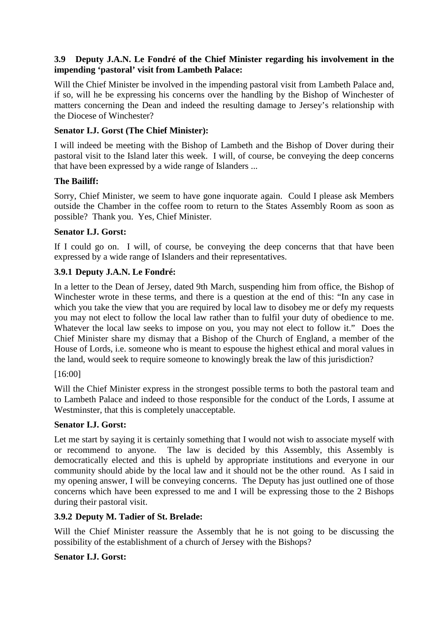### **3.9 Deputy J.A.N. Le Fondré of the Chief Minister regarding his involvement in the impending 'pastoral' visit from Lambeth Palace:**

Will the Chief Minister be involved in the impending pastoral visit from Lambeth Palace and, if so, will he be expressing his concerns over the handling by the Bishop of Winchester of matters concerning the Dean and indeed the resulting damage to Jersey's relationship with the Diocese of Winchester?

### **Senator I.J. Gorst (The Chief Minister):**

I will indeed be meeting with the Bishop of Lambeth and the Bishop of Dover during their pastoral visit to the Island later this week. I will, of course, be conveying the deep concerns that have been expressed by a wide range of Islanders ...

### **The Bailiff:**

Sorry, Chief Minister, we seem to have gone inquorate again. Could I please ask Members outside the Chamber in the coffee room to return to the States Assembly Room as soon as possible? Thank you. Yes, Chief Minister.

# **Senator I.J. Gorst:**

If I could go on. I will, of course, be conveying the deep concerns that that have been expressed by a wide range of Islanders and their representatives.

# **3.9.1 Deputy J.A.N. Le Fondré:**

In a letter to the Dean of Jersey, dated 9th March, suspending him from office, the Bishop of Winchester wrote in these terms, and there is a question at the end of this: "In any case in which you take the view that you are required by local law to disobey me or defy my requests you may not elect to follow the local law rather than to fulfil your duty of obedience to me. Whatever the local law seeks to impose on you, you may not elect to follow it." Does the Chief Minister share my dismay that a Bishop of the Church of England, a member of the House of Lords, i.e. someone who is meant to espouse the highest ethical and moral values in the land, would seek to require someone to knowingly break the law of this jurisdiction?

### [16:00]

Will the Chief Minister express in the strongest possible terms to both the pastoral team and to Lambeth Palace and indeed to those responsible for the conduct of the Lords, I assume at Westminster, that this is completely unacceptable.

### **Senator I.J. Gorst:**

Let me start by saying it is certainly something that I would not wish to associate myself with or recommend to anyone. The law is decided by this Assembly, this Assembly is democratically elected and this is upheld by appropriate institutions and everyone in our community should abide by the local law and it should not be the other round. As I said in my opening answer, I will be conveying concerns. The Deputy has just outlined one of those concerns which have been expressed to me and I will be expressing those to the 2 Bishops during their pastoral visit.

### **3.9.2 Deputy M. Tadier of St. Brelade:**

Will the Chief Minister reassure the Assembly that he is not going to be discussing the possibility of the establishment of a church of Jersey with the Bishops?

### **Senator I.J. Gorst:**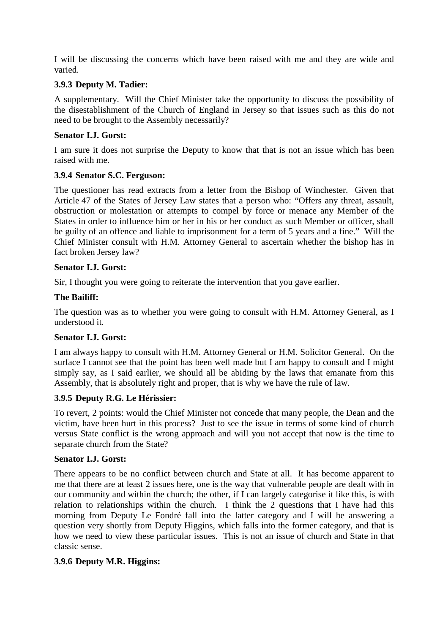I will be discussing the concerns which have been raised with me and they are wide and varied.

### **3.9.3 Deputy M. Tadier:**

A supplementary. Will the Chief Minister take the opportunity to discuss the possibility of the disestablishment of the Church of England in Jersey so that issues such as this do not need to be brought to the Assembly necessarily?

### **Senator I.J. Gorst:**

I am sure it does not surprise the Deputy to know that that is not an issue which has been raised with me.

#### **3.9.4 Senator S.C. Ferguson:**

The questioner has read extracts from a letter from the Bishop of Winchester. Given that Article 47 of the States of Jersey Law states that a person who: "Offers any threat, assault, obstruction or molestation or attempts to compel by force or menace any Member of the States in order to influence him or her in his or her conduct as such Member or officer, shall be guilty of an offence and liable to imprisonment for a term of 5 years and a fine." Will the Chief Minister consult with H.M. Attorney General to ascertain whether the bishop has in fact broken Jersey law?

#### **Senator I.J. Gorst:**

Sir, I thought you were going to reiterate the intervention that you gave earlier.

### **The Bailiff:**

The question was as to whether you were going to consult with H.M. Attorney General, as I understood it.

### **Senator I.J. Gorst:**

I am always happy to consult with H.M. Attorney General or H.M. Solicitor General. On the surface I cannot see that the point has been well made but I am happy to consult and I might simply say, as I said earlier, we should all be abiding by the laws that emanate from this Assembly, that is absolutely right and proper, that is why we have the rule of law.

### **3.9.5 Deputy R.G. Le Hérissier:**

To revert, 2 points: would the Chief Minister not concede that many people, the Dean and the victim, have been hurt in this process? Just to see the issue in terms of some kind of church versus State conflict is the wrong approach and will you not accept that now is the time to separate church from the State?

#### **Senator I.J. Gorst:**

There appears to be no conflict between church and State at all. It has become apparent to me that there are at least 2 issues here, one is the way that vulnerable people are dealt with in our community and within the church; the other, if I can largely categorise it like this, is with relation to relationships within the church. I think the 2 questions that I have had this morning from Deputy Le Fondré fall into the latter category and I will be answering a question very shortly from Deputy Higgins, which falls into the former category, and that is how we need to view these particular issues. This is not an issue of church and State in that classic sense.

#### **3.9.6 Deputy M.R. Higgins:**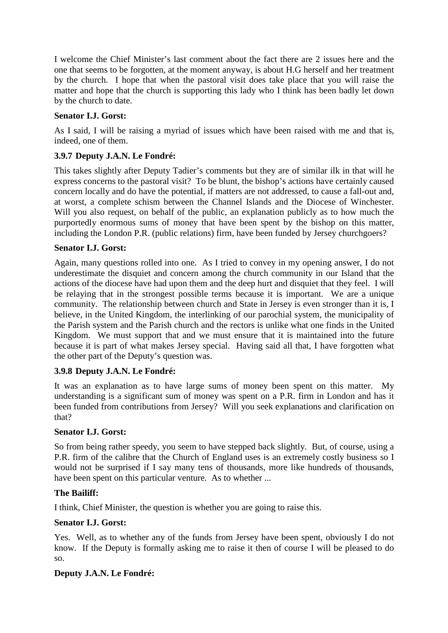I welcome the Chief Minister's last comment about the fact there are 2 issues here and the one that seems to be forgotten, at the moment anyway, is about H.G herself and her treatment by the church. I hope that when the pastoral visit does take place that you will raise the matter and hope that the church is supporting this lady who I think has been badly let down by the church to date.

# **Senator I.J. Gorst:**

As I said, I will be raising a myriad of issues which have been raised with me and that is, indeed, one of them.

# **3.9.7 Deputy J.A.N. Le Fondré:**

This takes slightly after Deputy Tadier's comments but they are of similar ilk in that will he express concerns to the pastoral visit? To be blunt, the bishop's actions have certainly caused concern locally and do have the potential, if matters are not addressed, to cause a fall-out and, at worst, a complete schism between the Channel Islands and the Diocese of Winchester. Will you also request, on behalf of the public, an explanation publicly as to how much the purportedly enormous sums of money that have been spent by the bishop on this matter, including the London P.R. (public relations) firm, have been funded by Jersey churchgoers?

### **Senator I.J. Gorst:**

Again, many questions rolled into one. As I tried to convey in my opening answer, I do not underestimate the disquiet and concern among the church community in our Island that the actions of the diocese have had upon them and the deep hurt and disquiet that they feel. I will be relaying that in the strongest possible terms because it is important. We are a unique community. The relationship between church and State in Jersey is even stronger than it is, I believe, in the United Kingdom, the interlinking of our parochial system, the municipality of the Parish system and the Parish church and the rectors is unlike what one finds in the United Kingdom. We must support that and we must ensure that it is maintained into the future because it is part of what makes Jersey special. Having said all that, I have forgotten what the other part of the Deputy's question was.

### **3.9.8 Deputy J.A.N. Le Fondré:**

It was an explanation as to have large sums of money been spent on this matter. My understanding is a significant sum of money was spent on a P.R. firm in London and has it been funded from contributions from Jersey? Will you seek explanations and clarification on that?

### **Senator I.J. Gorst:**

So from being rather speedy, you seem to have stepped back slightly. But, of course, using a P.R. firm of the calibre that the Church of England uses is an extremely costly business so I would not be surprised if I say many tens of thousands, more like hundreds of thousands, have been spent on this particular venture. As to whether ...

### **The Bailiff:**

I think, Chief Minister, the question is whether you are going to raise this.

### **Senator I.J. Gorst:**

Yes. Well, as to whether any of the funds from Jersey have been spent, obviously I do not know. If the Deputy is formally asking me to raise it then of course I will be pleased to do so.

### **Deputy J.A.N. Le Fondré:**